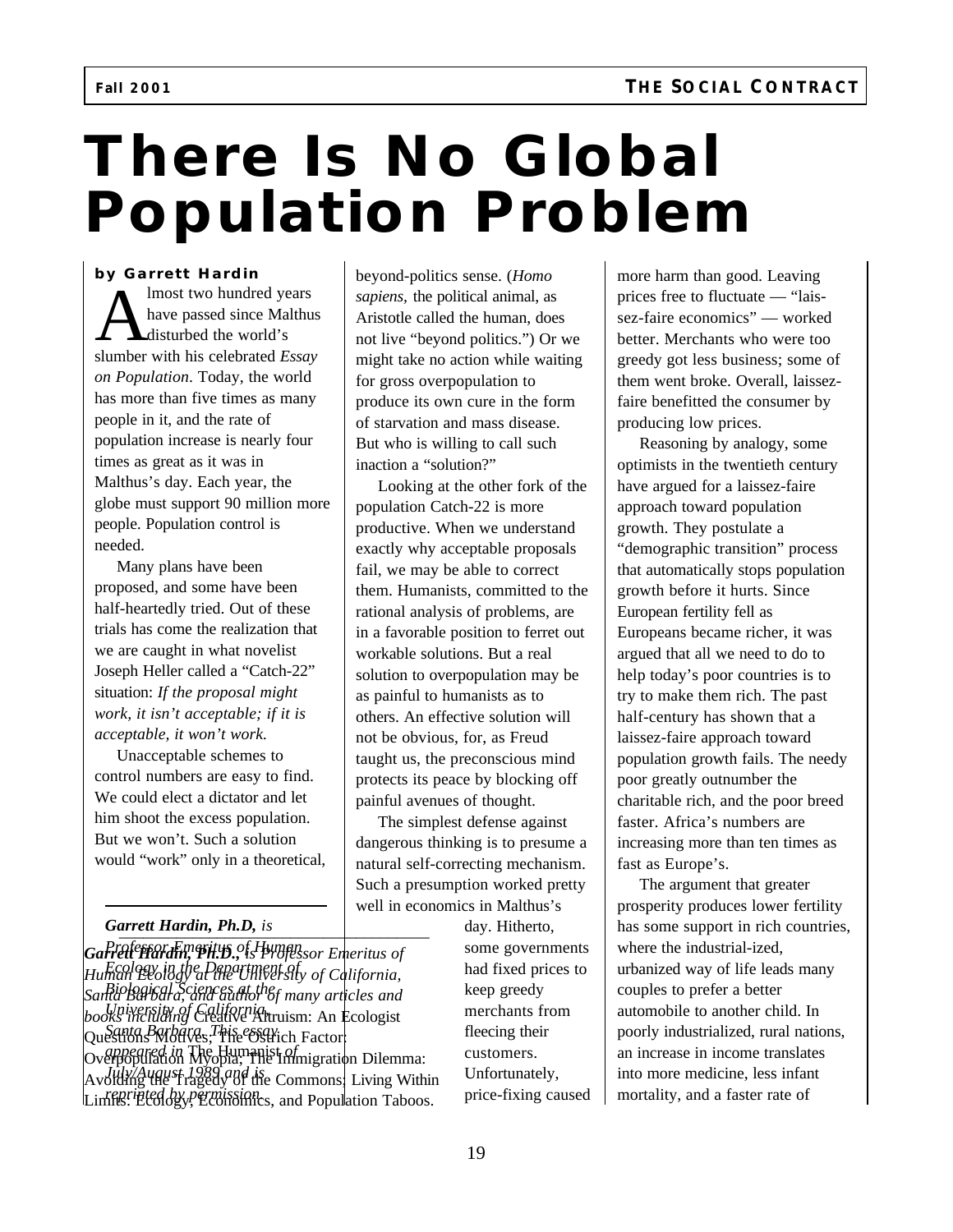# **There Is No Global Population Problem**

### **by Garrett Hardin**

Imost two hundred years<br>have passed since Malthus<br>slumber with his celebrated *Essay* lmost two hundred years have passed since Malthus disturbed the world's *on Population*. Today, the world has more than five times as many people in it, and the rate of population increase is nearly four times as great as it was in Malthus's day. Each year, the globe must support 90 million more people. Population control is needed.

Many plans have been proposed, and some have been half-heartedly tried. Out of these trials has come the realization that we are caught in what novelist Joseph Heller called a "Catch-22" situation: *If the proposal might work, it isn't acceptable; if it is acceptable, it won't work.*

Unacceptable schemes to control numbers are easy to find. We could elect a dictator and let him shoot the excess population. But we won't. Such a solution would "work" only in a theoretical,

\_\_\_\_\_\_\_\_\_\_\_\_\_\_\_\_\_\_\_\_\_\_\_\_\_\_\_\_\_\_\_\_\_\_\_\_\_\_ *Garrett Hardin, Ph.D, is*

*Garrett Hardin, Ph.D., is Professor Emeritus of Professor Emeritus of Human Human Ecology at the University of California, Ecology in the Department of Santa Barbara, and author of many articles and Biological Sciences at the books including* Creative Altruism: An Ecologist *University of California,* Questions Motives; The Ostrich Factor: *Santa Barbara. This essay* Overpopulation Myopia; The Immigration Dilemma: *appeared in* The Humanist *of* Avoiding the Tragedy of the Commons; Living Within *July/August 1989 and is* Linferential by Permission<sub>cs</sub>, and Population Taboos.

beyond-politics sense. (*Homo sapiens,* the political animal, as Aristotle called the human, does not live "beyond politics.") Or we might take no action while waiting for gross overpopulation to produce its own cure in the form of starvation and mass disease. But who is willing to call such inaction a "solution?"

Looking at the other fork of the population Catch-22 is more productive. When we understand exactly why acceptable proposals fail, we may be able to correct them. Humanists, committed to the rational analysis of problems, are in a favorable position to ferret out workable solutions. But a real solution to overpopulation may be as painful to humanists as to others. An effective solution will not be obvious, for, as Freud taught us, the preconscious mind protects its peace by blocking off painful avenues of thought.

The simplest defense against dangerous thinking is to presume a natural self-correcting mechanism. Such a presumption worked pretty well in economics in Malthus's

> day. Hitherto, some governments had fixed prices to keep greedy merchants from fleecing their customers. Unfortunately, price-fixing caused

more harm than good. Leaving prices free to fluctuate — "laissez-faire economics" — worked better. Merchants who were too greedy got less business; some of them went broke. Overall, laissezfaire benefitted the consumer by producing low prices.

Reasoning by analogy, some optimists in the twentieth century have argued for a laissez-faire approach toward population growth. They postulate a "demographic transition" process that automatically stops population growth before it hurts. Since European fertility fell as Europeans became richer, it was argued that all we need to do to help today's poor countries is to try to make them rich. The past half-century has shown that a laissez-faire approach toward population growth fails. The needy poor greatly outnumber the charitable rich, and the poor breed faster. Africa's numbers are increasing more than ten times as fast as Europe's.

The argument that greater prosperity produces lower fertility has some support in rich countries, where the industrial-ized, urbanized way of life leads many couples to prefer a better automobile to another child. In poorly industrialized, rural nations, an increase in income translates into more medicine, less infant mortality, and a faster rate of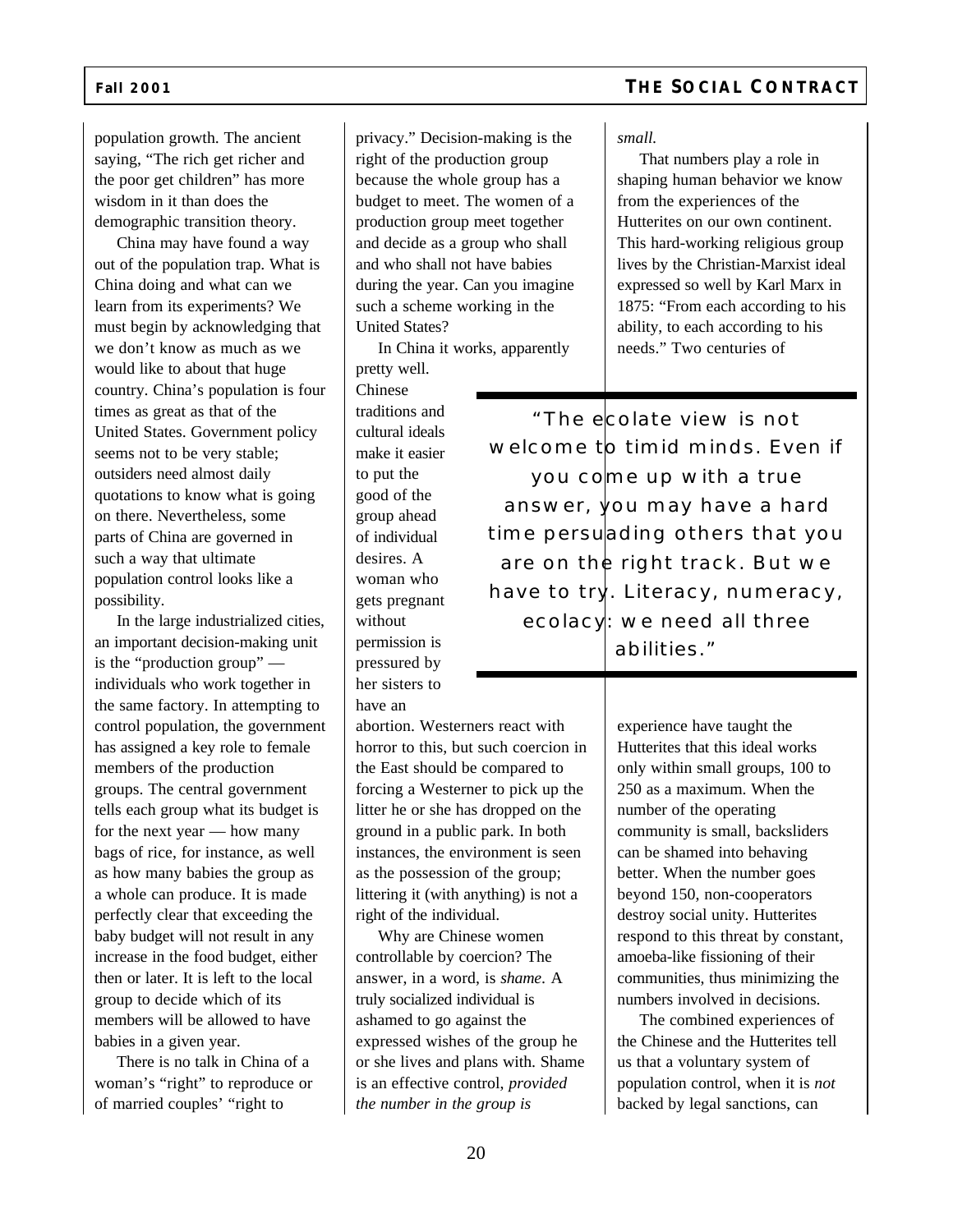population growth. The ancient saying, "The rich get richer and the poor get children" has more wisdom in it than does the demographic transition theory.

China may have found a way out of the population trap. What is China doing and what can we learn from its experiments? We must begin by acknowledging that we don't know as much as we would like to about that huge country. China's population is four times as great as that of the United States. Government policy seems not to be very stable; outsiders need almost daily quotations to know what is going on there. Nevertheless, some parts of China are governed in such a way that ultimate population control looks like a possibility.

In the large industrialized cities, an important decision-making unit is the "production group" individuals who work together in the same factory. In attempting to control population, the government has assigned a key role to female members of the production groups. The central government tells each group what its budget is for the next year — how many bags of rice, for instance, as well as how many babies the group as a whole can produce. It is made perfectly clear that exceeding the baby budget will not result in any increase in the food budget, either then or later. It is left to the local group to decide which of its members will be allowed to have babies in a given year.

There is no talk in China of a woman's "right" to reproduce or of married couples' "right to

privacy." Decision-making is the right of the production group because the whole group has a budget to meet. The women of a production group meet together and decide as a group who shall and who shall not have babies during the year. Can you imagine such a scheme working in the United States?

In China it works, apparently pretty well.

Chinese traditions and cultural ideals make it easier to put the good of the group ahead of individual desires. A woman who gets pregnant without permission is pressured by her sisters to have an

abortion. Westerners react with horror to this, but such coercion in the East should be compared to forcing a Westerner to pick up the litter he or she has dropped on the ground in a public park. In both instances, the environment is seen as the possession of the group; littering it (with anything) is not a right of the individual.

Why are Chinese women controllable by coercion? The answer, in a word, is *shame*. A truly socialized individual is ashamed to go against the expressed wishes of the group he or she lives and plans with. Shame is an effective control, *provided the number in the group is*

## **Fall 2001 THE SOCIAL CONTRACT**

*small.*

That numbers play a role in shaping human behavior we know from the experiences of the Hutterites on our own continent. This hard-working religious group lives by the Christian-Marxist ideal expressed so well by Karl Marx in 1875: "From each according to his ability, to each according to his needs." Two centuries of

*"The ecolate view is not welcome to timid minds. Even if you come up with a true answer, you may have a hard time persuading others that you are on the right track. But we have to try. Literacy, numeracy, ecolacy: we need all three abilities."*

> experience have taught the Hutterites that this ideal works only within small groups, 100 to 250 as a maximum. When the number of the operating community is small, backsliders can be shamed into behaving better. When the number goes beyond 150, non-cooperators destroy social unity. Hutterites respond to this threat by constant, amoeba-like fissioning of their communities, thus minimizing the numbers involved in decisions.

The combined experiences of the Chinese and the Hutterites tell us that a voluntary system of population control, when it is *not* backed by legal sanctions, can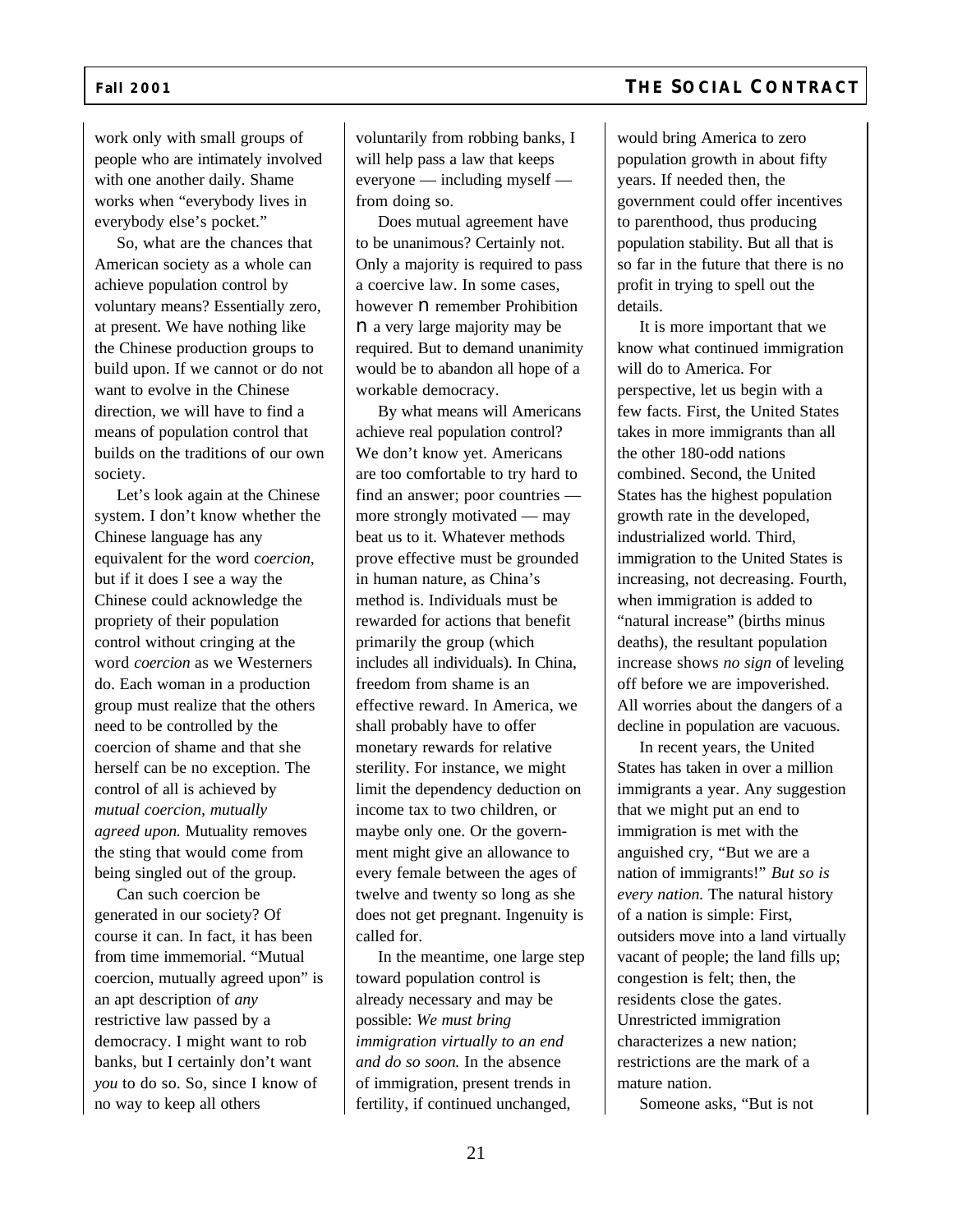### work only with small groups of people who are intimately involved with one another daily. Shame works when "everybody lives in everybody else's pocket."

So, what are the chances that American society as a whole can achieve population control by voluntary means? Essentially zero, at present. We have nothing like the Chinese production groups to build upon. If we cannot or do not want to evolve in the Chinese direction, we will have to find a means of population control that builds on the traditions of our own society.

Let's look again at the Chinese system. I don't know whether the Chinese language has any equivalent for the word c*oercion*, but if it does I see a way the Chinese could acknowledge the propriety of their population control without cringing at the word *coercion* as we Westerners do. Each woman in a production group must realize that the others need to be controlled by the coercion of shame and that she herself can be no exception. The control of all is achieved by *mutual coercion, mutually agreed upon.* Mutuality removes the sting that would come from being singled out of the group.

Can such coercion be generated in our society? Of course it can. In fact, it has been from time immemorial. "Mutual coercion, mutually agreed upon" is an apt description of *any* restrictive law passed by a democracy. I might want to rob banks, but I certainly don't want *you* to do so. So, since I know of no way to keep all others

voluntarily from robbing banks, I will help pass a law that keeps everyone — including myself from doing so.

Does mutual agreement have to be unanimous? Certainly not. Only a majority is required to pass a coercive law. In some cases, however  $\boldsymbol{\mathsf{n}}$  remember Prohibition n a very large majority may be required. But to demand unanimity would be to abandon all hope of a workable democracy.

By what means will Americans achieve real population control? We don't know yet. Americans are too comfortable to try hard to find an answer; poor countries more strongly motivated — may beat us to it. Whatever methods prove effective must be grounded in human nature, as China's method is. Individuals must be rewarded for actions that benefit primarily the group (which includes all individuals). In China, freedom from shame is an effective reward. In America, we shall probably have to offer monetary rewards for relative sterility. For instance, we might limit the dependency deduction on income tax to two children, or maybe only one. Or the government might give an allowance to every female between the ages of twelve and twenty so long as she does not get pregnant. Ingenuity is called for.

In the meantime, one large step toward population control is already necessary and may be possible: *We must bring immigration virtually to an end and do so soon.* In the absence of immigration, present trends in fertility, if continued unchanged,

would bring America to zero population growth in about fifty years. If needed then, the government could offer incentives to parenthood, thus producing population stability. But all that is so far in the future that there is no profit in trying to spell out the details.

It is more important that we know what continued immigration will do to America. For perspective, let us begin with a few facts. First, the United States takes in more immigrants than all the other 180-odd nations combined. Second, the United States has the highest population growth rate in the developed, industrialized world. Third, immigration to the United States is increasing, not decreasing. Fourth, when immigration is added to "natural increase" (births minus deaths), the resultant population increase shows *no sign* of leveling off before we are impoverished. All worries about the dangers of a decline in population are vacuous.

In recent years, the United States has taken in over a million immigrants a year. Any suggestion that we might put an end to immigration is met with the anguished cry, "But we are a nation of immigrants!" *But so is every nation.* The natural history of a nation is simple: First, outsiders move into a land virtually vacant of people; the land fills up; congestion is felt; then, the residents close the gates. Unrestricted immigration characterizes a new nation; restrictions are the mark of a mature nation.

Someone asks, "But is not

# **Fall 2001 THE SOCIAL CONTRACT**